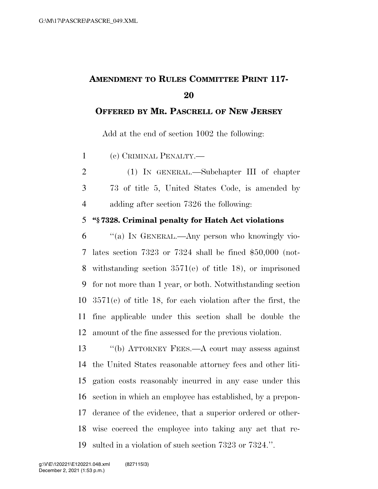# **AMENDMENT TO RULES COMMITTEE PRINT 117-**

#### **OFFERED BY MR. PASCRELL OF NEW JERSEY**

Add at the end of section 1002 the following:

(c) CRIMINAL PENALTY.—

 (1) IN GENERAL.—Subchapter III of chapter 73 of title 5, United States Code, is amended by adding after section 7326 the following:

#### **''§ 7328. Criminal penalty for Hatch Act violations**

 ''(a) IN GENERAL.—Any person who knowingly vio- lates section 7323 or 7324 shall be fined \$50,000 (not- withstanding section 3571(e) of title 18), or imprisoned for not more than 1 year, or both. Notwithstanding section 3571(e) of title 18, for each violation after the first, the fine applicable under this section shall be double the amount of the fine assessed for the previous violation.

 ''(b) ATTORNEY FEES.—A court may assess against the United States reasonable attorney fees and other liti- gation costs reasonably incurred in any case under this section in which an employee has established, by a prepon- derance of the evidence, that a superior ordered or other- wise coerced the employee into taking any act that re-sulted in a violation of such section 7323 or 7324.''.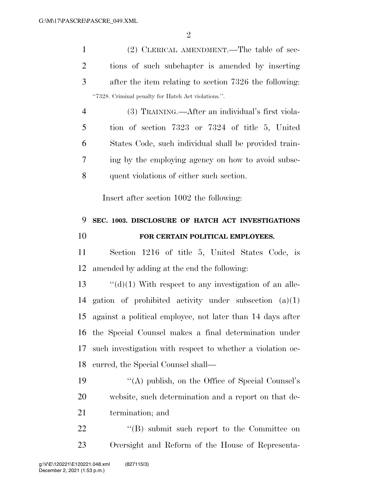$\mathfrak{D}$ 

 (2) CLERICAL AMENDMENT.—The table of sec- tions of such subchapter is amended by inserting after the item relating to section 7326 the following: ''7328. Criminal penalty for Hatch Act violations.''.

 (3) TRAINING.—After an individual's first viola- tion of section 7323 or 7324 of title 5, United States Code, such individual shall be provided train- ing by the employing agency on how to avoid subse-quent violations of either such section.

Insert after section 1002 the following:

## **SEC. 1003. DISCLOSURE OF HATCH ACT INVESTIGATIONS FOR CERTAIN POLITICAL EMPLOYEES.**

 Section 1216 of title 5, United States Code, is amended by adding at the end the following:

 $\cdot$  "(d)(1) With respect to any investigation of an alle- gation of prohibited activity under subsection (a)(1) against a political employee, not later than 14 days after the Special Counsel makes a final determination under such investigation with respect to whether a violation oc-curred, the Special Counsel shall—

 ''(A) publish, on the Office of Special Counsel's website, such determination and a report on that de-termination; and

22 "(B) submit such report to the Committee on Oversight and Reform of the House of Representa-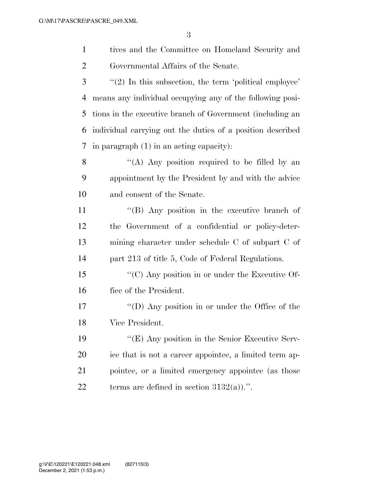tives and the Committee on Homeland Security and Governmental Affairs of the Senate.

 ''(2) In this subsection, the term 'political employee' means any individual occupying any of the following posi- tions in the executive branch of Government (including an individual carrying out the duties of a position described in paragraph (1) in an acting capacity):

 ''(A) Any position required to be filled by an appointment by the President by and with the advice and consent of the Senate.

 ''(B) Any position in the executive branch of the Government of a confidential or policy-deter- mining character under schedule C of subpart C of part 213 of title 5, Code of Federal Regulations.

 ''(C) Any position in or under the Executive Of-fice of the President.

 ''(D) Any position in or under the Office of the Vice President.

 ''(E) Any position in the Senior Executive Serv- ice that is not a career appointee, a limited term ap- pointee, or a limited emergency appointee (as those 22 terms are defined in section  $3132(a)$ .".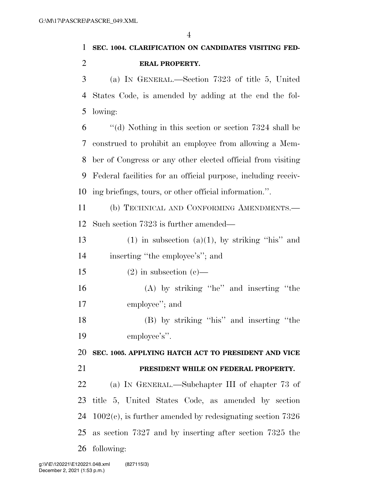## **SEC. 1004. CLARIFICATION ON CANDIDATES VISITING FED-ERAL PROPERTY.**

 (a) IN GENERAL.—Section 7323 of title 5, United States Code, is amended by adding at the end the fol-lowing:

 ''(d) Nothing in this section or section 7324 shall be construed to prohibit an employee from allowing a Mem- ber of Congress or any other elected official from visiting Federal facilities for an official purpose, including receiv-ing briefings, tours, or other official information.''.

 (b) TECHNICAL AND CONFORMING AMENDMENTS.— Such section 7323 is further amended—

13 (1) in subsection (a)(1), by striking "his" and inserting ''the employee's''; and

15 (2) in subsection  $(c)$ —

 (A) by striking ''he'' and inserting ''the employee''; and

 (B) by striking ''his'' and inserting ''the employee's''.

 **SEC. 1005. APPLYING HATCH ACT TO PRESIDENT AND VICE PRESIDENT WHILE ON FEDERAL PROPERTY.** 

 (a) IN GENERAL.—Subchapter III of chapter 73 of title 5, United States Code, as amended by section 1002(c), is further amended by redesignating section 7326 as section 7327 and by inserting after section 7325 the following: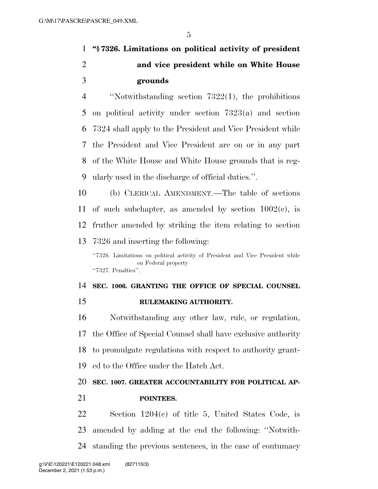# **''§ 7326. Limitations on political activity of president and vice president while on White House grounds**

 ''Notwithstanding section 7322(1), the prohibitions on political activity under section 7323(a) and section 7324 shall apply to the President and Vice President while the President and Vice President are on or in any part of the White House and White House grounds that is reg-ularly used in the discharge of official duties.''.

 (b) CLERICAL AMENDMENT.—The table of sections 11 of such subchapter, as amended by section  $1002(c)$ , is fruther amended by striking the item relating to section 7326 and inserting the following:

''7326. Limitations on political activity of President and Vice President while on Federal property ''7327. Penalties''.

 **SEC. 1006. GRANTING THE OFFICE OF SPECIAL COUNSEL RULEMAKING AUTHORITY.** 

 Notwithstanding any other law, rule, or regulation, the Office of Special Counsel shall have exclusive authority to promulgate regulations with respect to authority grant-ed to the Office under the Hatch Act.

### **SEC. 1007. GREATER ACCOUNTABILITY FOR POLITICAL AP-**

**POINTEES.** 

 Section 1204(c) of title 5, United States Code, is amended by adding at the end the following: ''Notwith-standing the previous sentences, in the case of contumacy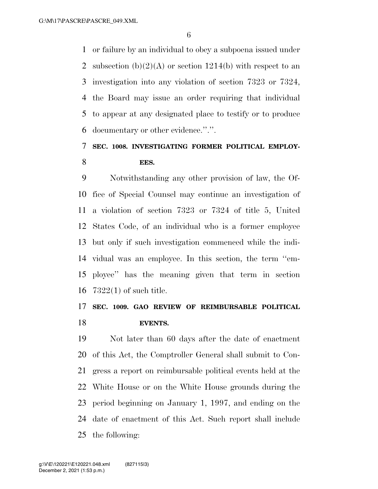or failure by an individual to obey a subpoena issued under 2 subsection  $(b)(2)(A)$  or section 1214(b) with respect to an investigation into any violation of section 7323 or 7324, the Board may issue an order requiring that individual to appear at any designated place to testify or to produce documentary or other evidence.''.''.

## **SEC. 1008. INVESTIGATING FORMER POLITICAL EMPLOY-EES.**

 Notwithstanding any other provision of law, the Of- fice of Special Counsel may continue an investigation of a violation of section 7323 or 7324 of title 5, United States Code, of an individual who is a former employee but only if such investigation commenced while the indi- vidual was an employee. In this section, the term ''em- ployee'' has the meaning given that term in section 7322(1) of such title.

## **SEC. 1009. GAO REVIEW OF REIMBURSABLE POLITICAL EVENTS.**

 Not later than 60 days after the date of enactment of this Act, the Comptroller General shall submit to Con- gress a report on reimbursable political events held at the White House or on the White House grounds during the period beginning on January 1, 1997, and ending on the date of enactment of this Act. Such report shall include the following: